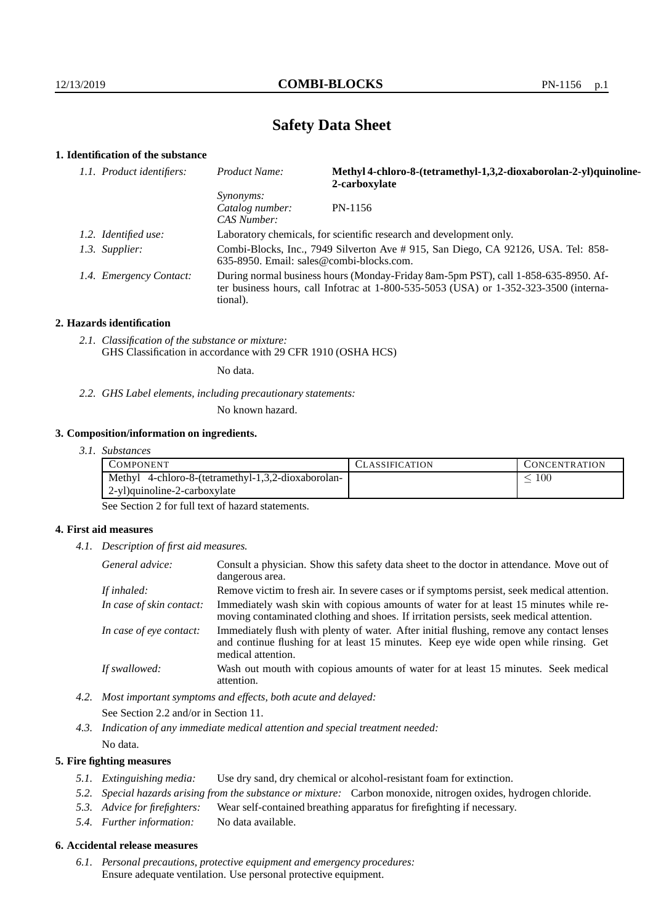## **Safety Data Sheet**

## **1. Identification of the substance**

| 1.1. Product identifiers: | Product Name:                                                                                                                                                                           | Methyl 4-chloro-8-(tetramethyl-1,3,2-dioxaborolan-2-yl)quinoline-<br>2-carboxylate |  |
|---------------------------|-----------------------------------------------------------------------------------------------------------------------------------------------------------------------------------------|------------------------------------------------------------------------------------|--|
|                           | <i>Synonyms:</i><br>Catalog number:<br>CAS Number:                                                                                                                                      | PN-1156                                                                            |  |
| 1.2. Identified use:      | Laboratory chemicals, for scientific research and development only.                                                                                                                     |                                                                                    |  |
| 1.3. Supplier:            | Combi-Blocks, Inc., 7949 Silverton Ave # 915, San Diego, CA 92126, USA. Tel: 858-<br>$635-8950$ . Email: sales@combi-blocks.com.                                                        |                                                                                    |  |
| 1.4. Emergency Contact:   | During normal business hours (Monday-Friday 8am-5pm PST), call 1-858-635-8950. Af-<br>ter business hours, call Infotrac at 1-800-535-5053 (USA) or 1-352-323-3500 (interna-<br>tional). |                                                                                    |  |

#### **2. Hazards identification**

*2.1. Classification of the substance or mixture:* GHS Classification in accordance with 29 CFR 1910 (OSHA HCS)

No data.

*2.2. GHS Label elements, including precautionary statements:*

No known hazard.

### **3. Composition/information on ingredients.**

*3.1. Substances*

| COMPONENT                                          | LASSIFICATION | L'ONCENTRATION |
|----------------------------------------------------|---------------|----------------|
| Methyl 4-chloro-8-(tetramethyl-1,3,2-dioxaborolan- |               | 100            |
| 2-yl)quinoline-2-carboxylate                       |               |                |

See Section 2 for full text of hazard statements.

### **4. First aid measures**

*4.1. Description of first aid measures.*

| General advice:          | Consult a physician. Show this safety data sheet to the doctor in attendance. Move out of<br>dangerous area.                                                                                            |
|--------------------------|---------------------------------------------------------------------------------------------------------------------------------------------------------------------------------------------------------|
| If inhaled:              | Remove victim to fresh air. In severe cases or if symptoms persist, seek medical attention.                                                                                                             |
| In case of skin contact: | Immediately wash skin with copious amounts of water for at least 15 minutes while re-<br>moving contaminated clothing and shoes. If irritation persists, seek medical attention.                        |
| In case of eye contact:  | Immediately flush with plenty of water. After initial flushing, remove any contact lenses<br>and continue flushing for at least 15 minutes. Keep eye wide open while rinsing. Get<br>medical attention. |
| If swallowed:            | Wash out mouth with copious amounts of water for at least 15 minutes. Seek medical<br>attention.                                                                                                        |

*4.2. Most important symptoms and effects, both acute and delayed:* See Section 2.2 and/or in Section 11.

*4.3. Indication of any immediate medical attention and special treatment needed:* No data.

#### **5. Fire fighting measures**

- *5.1. Extinguishing media:* Use dry sand, dry chemical or alcohol-resistant foam for extinction.
- *5.2. Special hazards arising from the substance or mixture:* Carbon monoxide, nitrogen oxides, hydrogen chloride.
- *5.3. Advice for firefighters:* Wear self-contained breathing apparatus for firefighting if necessary.
- *5.4. Further information:* No data available.

## **6. Accidental release measures**

*6.1. Personal precautions, protective equipment and emergency procedures:* Ensure adequate ventilation. Use personal protective equipment.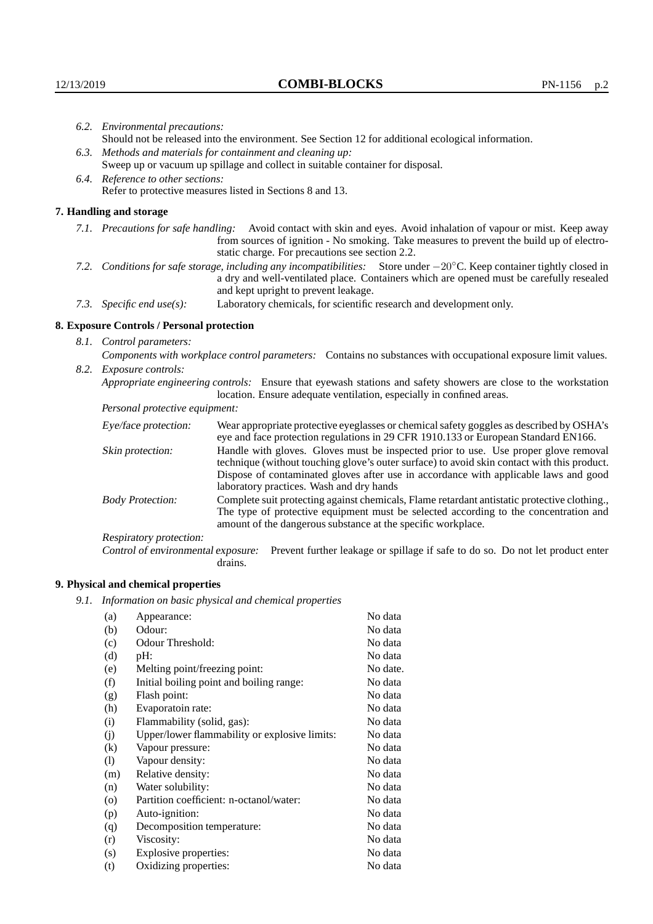| 6.2. Environmental precautions:                                                                                                                                                                                                                                     |                                                                                                                                                                                                                                                                    |  |  |  |
|---------------------------------------------------------------------------------------------------------------------------------------------------------------------------------------------------------------------------------------------------------------------|--------------------------------------------------------------------------------------------------------------------------------------------------------------------------------------------------------------------------------------------------------------------|--|--|--|
| Should not be released into the environment. See Section 12 for additional ecological information.                                                                                                                                                                  |                                                                                                                                                                                                                                                                    |  |  |  |
| 6.3. Methods and materials for containment and cleaning up:                                                                                                                                                                                                         |                                                                                                                                                                                                                                                                    |  |  |  |
| Sweep up or vacuum up spillage and collect in suitable container for disposal.                                                                                                                                                                                      |                                                                                                                                                                                                                                                                    |  |  |  |
| 6.4. Reference to other sections:                                                                                                                                                                                                                                   |                                                                                                                                                                                                                                                                    |  |  |  |
|                                                                                                                                                                                                                                                                     | Refer to protective measures listed in Sections 8 and 13.                                                                                                                                                                                                          |  |  |  |
| 7. Handling and storage                                                                                                                                                                                                                                             |                                                                                                                                                                                                                                                                    |  |  |  |
|                                                                                                                                                                                                                                                                     | 7.1. Precautions for safe handling: Avoid contact with skin and eyes. Avoid inhalation of vapour or mist. Keep away<br>from sources of ignition - No smoking. Take measures to prevent the build up of electro-<br>static charge. For precautions see section 2.2. |  |  |  |
| 7.2. Conditions for safe storage, including any incompatibilities: Store under $-20^{\circ}$ C. Keep container tightly closed in<br>a dry and well-ventilated place. Containers which are opened must be carefully resealed<br>and kept upright to prevent leakage. |                                                                                                                                                                                                                                                                    |  |  |  |
| Laboratory chemicals, for scientific research and development only.<br>7.3. Specific end use(s):                                                                                                                                                                    |                                                                                                                                                                                                                                                                    |  |  |  |
| 8. Exposure Controls / Personal protection                                                                                                                                                                                                                          |                                                                                                                                                                                                                                                                    |  |  |  |
| 8.1. Control parameters:                                                                                                                                                                                                                                            |                                                                                                                                                                                                                                                                    |  |  |  |
| Components with workplace control parameters: Contains no substances with occupational exposure limit values.                                                                                                                                                       |                                                                                                                                                                                                                                                                    |  |  |  |
| 8.2. Exposure controls:                                                                                                                                                                                                                                             |                                                                                                                                                                                                                                                                    |  |  |  |
| Appropriate engineering controls: Ensure that eyewash stations and safety showers are close to the workstation<br>location. Ensure adequate ventilation, especially in confined areas.                                                                              |                                                                                                                                                                                                                                                                    |  |  |  |
| Personal protective equipment:                                                                                                                                                                                                                                      |                                                                                                                                                                                                                                                                    |  |  |  |
| Eye/face protection:                                                                                                                                                                                                                                                | Wear appropriate protective eyeglasses or chemical safety goggles as described by OSHA's<br>eye and face protection regulations in 29 CFR 1910.133 or European Standard EN166.                                                                                     |  |  |  |
| Skin protection:                                                                                                                                                                                                                                                    | Handle with gloves. Gloves must be inspected prior to use. Use proper glove removal<br>technique (without touching glove's outer surface) to avoid skin contact with this product                                                                                  |  |  |  |

## **8. Exposure Controls / Personal protection**

| Eye/face protection:               | Wear appropriate protective eyeglasses or chemical safety goggles as described by OSHA's<br>eye and face protection regulations in 29 CFR 1910.133 or European Standard EN166.                                                                                                                                         |  |  |
|------------------------------------|------------------------------------------------------------------------------------------------------------------------------------------------------------------------------------------------------------------------------------------------------------------------------------------------------------------------|--|--|
| Skin protection:                   | Handle with gloves. Gloves must be inspected prior to use. Use proper glove removal<br>technique (without touching glove's outer surface) to avoid skin contact with this product.<br>Dispose of contaminated gloves after use in accordance with applicable laws and good<br>laboratory practices. Wash and dry hands |  |  |
| <b>Body Protection:</b>            | Complete suit protecting against chemicals, Flame retardant antistatic protective clothing.,<br>The type of protective equipment must be selected according to the concentration and<br>amount of the dangerous substance at the specific workplace.                                                                   |  |  |
| Respiratory protection:            |                                                                                                                                                                                                                                                                                                                        |  |  |
| Control of environmental exposure: | Prevent further leakage or spillage if safe to do so. Do not let product enter<br>drains.                                                                                                                                                                                                                              |  |  |

# **9. Physical and chemical properties**

*9.1. Information on basic physical and chemical properties*

| (a)     | Appearance:                                   | No data  |
|---------|-----------------------------------------------|----------|
| (b)     | Odour:                                        | No data  |
|         | Odour Threshold:                              | No data  |
| (c)     |                                               |          |
| (d)     | pH:                                           | No data  |
| (e)     | Melting point/freezing point:                 | No date. |
| (f)     | Initial boiling point and boiling range:      | No data  |
| (g)     | Flash point:                                  | No data  |
| (h)     | Evaporatoin rate:                             | No data  |
| (i)     | Flammability (solid, gas):                    | No data  |
| (j)     | Upper/lower flammability or explosive limits: | No data  |
| (k)     | Vapour pressure:                              | No data  |
| (1)     | Vapour density:                               | No data  |
| (m)     | Relative density:                             | No data  |
| (n)     | Water solubility:                             | No data  |
| $\circ$ | Partition coefficient: n-octanol/water:       | No data  |
| (p)     | Auto-ignition:                                | No data  |
| (q)     | Decomposition temperature:                    | No data  |
| (r)     | Viscosity:                                    | No data  |
| (s)     | Explosive properties:                         | No data  |
| (t)     | Oxidizing properties:                         | No data  |
|         |                                               |          |